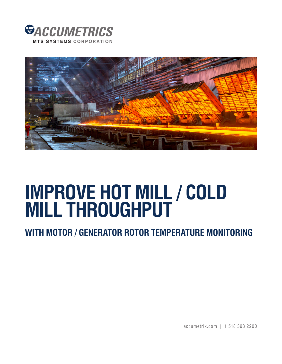



# **IMPROVE HOT MILL / COLD MILL THROUGHPUT**

# **WITH MOTOR / GENERATOR ROTOR TEMPERATURE MONITORING**

accumetrix.com | 1 518 393 2200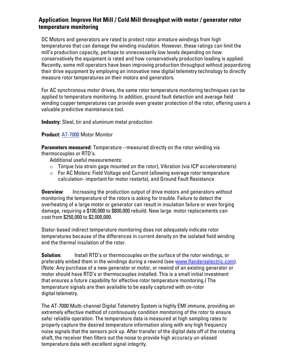## **Application: Improve Hot Mill / Cold Mill throughput with motor / generator rotor temperature monitoring**

DC Motors and generators are rated to protect rotor armature windings from high temperatures that can damage the winding insulation. However, these ratings can limit the mill's production capacity, perhaps to unnecessarily low levels depending on how conservatively the equipment is rated and how conservatively production loading is applied. Recently, some mill operators have been improving production throughput without jeopardizing their drive equipment by employing an innovative new digital telemetry technology to directly measure rotor temperatures on their motors and generators.

For AC synchronous motor drives, the same rotor temperature monitoring techniques can be applied to temperature monitoring. In addition, ground fault detection and average field winding copper temperatures can provide even greater protection of the rotor, offering users a valuable predictive maintenance tool.

**Industry:** Steel, tin and aluminum metal production

#### **Product:** [AT-7000](http://www.accumetrix.com/Multi-ChannelTelemetry/AT7000) Motor Monitor

**Parameters measured:** Temperature --measured directly on the rotor winding via thermocouples or RTD's.

Additional useful measurements:

- $\circ$  Torque (via strain gage mounted on the rotor), Vibration (via ICP accelerometers)
- o For AC Motors: Field Voltage and Current (allowing average rotor temperature calculation- important for motor restarts), and Ground Fault Resistance

**Overview**: Increasing the production output of drive motors and generators without monitoring the temperature of the rotors is asking for trouble. Failure to detect the overheating of a large motor or generator can result in insulation failure or even forging damage, requiring a \$100,000 to \$800,000 rebuild. New large motor replacements can cost from \$250,000 to \$2,000,000.

Stator-based indirect temperature monitoring does not adequately indicate rotor temperatures because of the differences in current density on the isolated field winding and the thermal insulation of the rotor.

**Solution:** Install RTD's or thermocouples on the surface of the rotor windings, or preferably embed them in the windings during a rewind (see [www.flanderselectric.com\).](http://www.flanderselectric.com/) (Note: Any purchase of a new generator or motor, or rewind of an existing generator or motor should have RTD's or thermocouples installed. This is a small initial investment that ensures a future capability for effective rotor temperature monitoring.) The temperature signals are then available to be easily captured with on-rotor digital telemetry.

The AT-7000 Multi-channel Digital Telemetry System is highly EMI immune, providing an extremely effective method of continuously condition monitoring of the rotor to ensure safe/ reliable operation. The temperature data is measured at high sampling rates to properly capture the desired temperature information along with any high frequency noise signals that the sensors pick up. After transfer of the digital data off of the rotating shaft, the receiver then filters out the noise to provide high accuracy un-aliased temperature data with excellent signal integrity.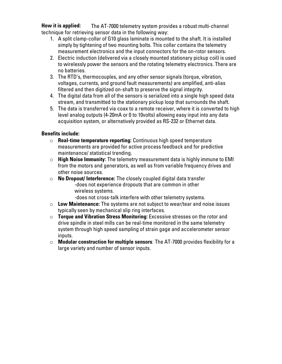**How it is applied:** The AT-7000 telemetry system provides a robust multi-channel technique for retrieving sensor data in the following way:

- 1. A split clamp-collar of G10 glass laminate is mounted to the shaft. It is installed simply by tightening of two mounting bolts. This collar contains the telemetry measurement electronics and the input connectors for the on-rotor sensors.
- 2. Electric induction (delivered via a closely mounted stationary pickup coil) is used to wirelessly power the sensors and the rotating telemetry electronics. There are no batteries.
- 3. The RTD's, thermocouples, and any other sensor signals (torque, vibration, voltages, currents, and ground fault measurements) are amplified, anti-alias filtered and then digitized on-shaft to preserve the signal integrity.
- 4. The digital data from all of the sensors is serialized into a single high speed data stream, and transmitted to the stationary pickup loop that surrounds the shaft.
- 5. The data is transferred via coax to a remote receiver, where it is converted to high level analog outputs (4-20mA or 0 to 10volts) allowing easy input into any data acquisition system, or alternatively provided as RS-232 or Ethernet data.

### **Benefits include:**

- o **Real-time temperature reporting:** Continuous high speed temperature measurements are provided for active process feedback and for predictive maintenance/ statistical trending.
- o **High Noise Immunity:** The telemetry measurement data is highly immune to EMI from the motors and generators, as well as from variable frequency drives and other noise sources.
- o **No Dropout/ Interference:** The closely coupled digital data transfer -does not experience dropouts that are common in other wireless systems.
	- -does not cross-talk interfere with other telemetry systems.
- o **Low Maintenance:** The systems are not subject to wear/tear and noise issues typically seen by mechanical slip ring interfaces.
- o **Torque and Vibration Stress Monitoring:** Excessive stresses on the rotor and drive spindle in steel mills can be real-time monitored in the same telemetry system through high speed sampling of strain gage and accelerometer sensor inputs.
- o **Modular construction for multiple sensors**: The AT-7000 provides flexibility for a large variety and number of sensor inputs.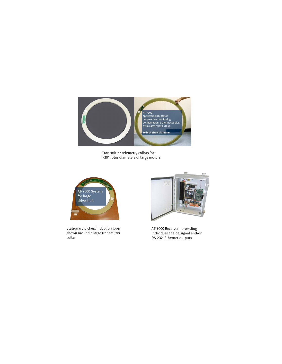

Transmitter telemetry collars for >30" rotor diameters of large motors



Stationary pickup/induction loop shown around a large transmitter collar



AT 7000 Receiver providing individual analog signal and/or RS-232, Ethernet outputs